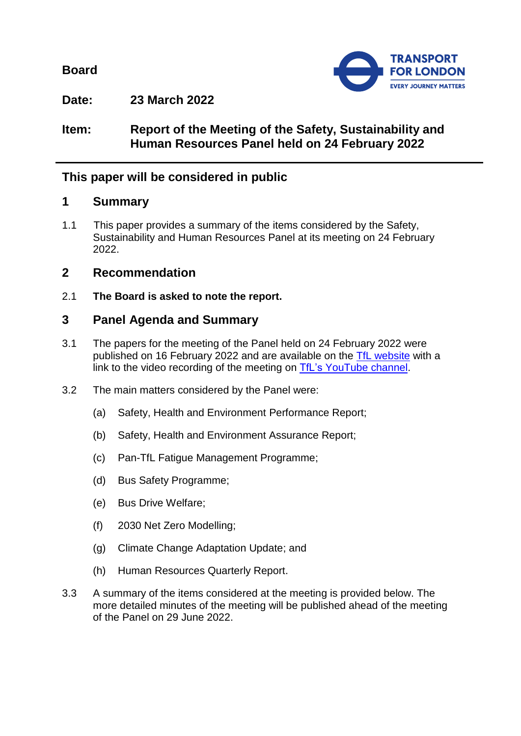**Board**



**Date: 23 March 2022**

## **Item: Report of the Meeting of the Safety, Sustainability and Human Resources Panel held on 24 February 2022**

# **This paper will be considered in public**

## **1 Summary**

1.1 This paper provides a summary of the items considered by the Safety, Sustainability and Human Resources Panel at its meeting on 24 February 2022.

## **2 Recommendation**

2.1 **The Board is asked to note the report.**

# **3 Panel Agenda and Summary**

- 3.1 The papers for the meeting of the Panel held on 24 February 2022 were published on 16 February 2022 and are available on the [TfL website](https://board.tfl.gov.uk/uuCoverPage.aspx?bcr=1) with a link to the video recording of the meeting on [TfL's YouTube](https://www.youtube.com/playlist?list=PLtnlusA0Zoggk4qvN68OcnD9k_7B8cY_d) channel.
- 3.2 The main matters considered by the Panel were:
	- (a) Safety, Health and Environment Performance Report;
	- (b) Safety, Health and Environment Assurance Report;
	- (c) Pan-TfL Fatigue Management Programme;
	- (d) Bus Safety Programme;
	- (e) Bus Drive Welfare;
	- (f) 2030 Net Zero Modelling;
	- (g) Climate Change Adaptation Update; and
	- (h) Human Resources Quarterly Report.
- 3.3 A summary of the items considered at the meeting is provided below. The more detailed minutes of the meeting will be published ahead of the meeting of the Panel on 29 June 2022.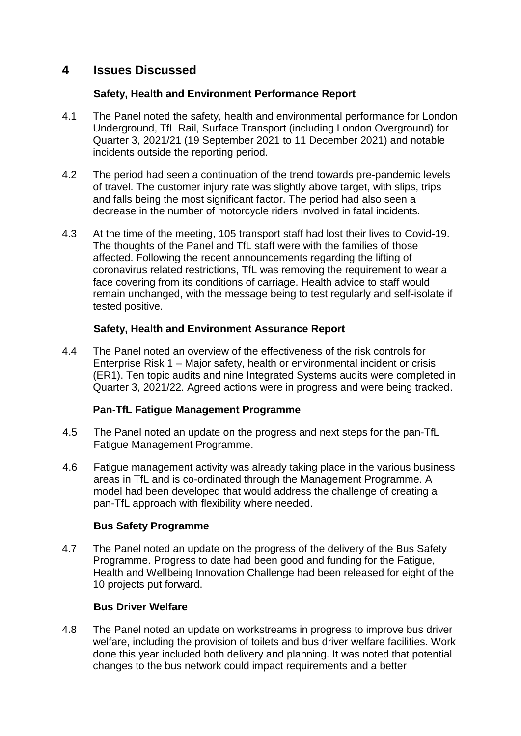## **4 Issues Discussed**

#### **Safety, Health and Environment Performance Report**

- 4.1 The Panel noted the safety, health and environmental performance for London Underground, TfL Rail, Surface Transport (including London Overground) for Quarter 3, 2021/21 (19 September 2021 to 11 December 2021) and notable incidents outside the reporting period.
- 4.2 The period had seen a continuation of the trend towards pre-pandemic levels of travel. The customer injury rate was slightly above target, with slips, trips and falls being the most significant factor. The period had also seen a decrease in the number of motorcycle riders involved in fatal incidents.
- 4.3 At the time of the meeting, 105 transport staff had lost their lives to Covid-19. The thoughts of the Panel and TfL staff were with the families of those affected. Following the recent announcements regarding the lifting of coronavirus related restrictions, TfL was removing the requirement to wear a face covering from its conditions of carriage. Health advice to staff would remain unchanged, with the message being to test regularly and self-isolate if tested positive.

### **Safety, Health and Environment Assurance Report**

4.4 The Panel noted an overview of the effectiveness of the risk controls for Enterprise Risk 1 – Major safety, health or environmental incident or crisis (ER1). Ten topic audits and nine Integrated Systems audits were completed in Quarter 3, 2021/22. Agreed actions were in progress and were being tracked.

### **Pan-TfL Fatigue Management Programme**

- 4.5 The Panel noted an update on the progress and next steps for the pan-TfL Fatigue Management Programme.
- 4.6 Fatigue management activity was already taking place in the various business areas in TfL and is co-ordinated through the Management Programme. A model had been developed that would address the challenge of creating a pan-TfL approach with flexibility where needed.

### **Bus Safety Programme**

4.7 The Panel noted an update on the progress of the delivery of the Bus Safety Programme. Progress to date had been good and funding for the Fatigue, Health and Wellbeing Innovation Challenge had been released for eight of the 10 projects put forward.

### **Bus Driver Welfare**

4.8 The Panel noted an update on workstreams in progress to improve bus driver welfare, including the provision of toilets and bus driver welfare facilities. Work done this year included both delivery and planning. It was noted that potential changes to the bus network could impact requirements and a better